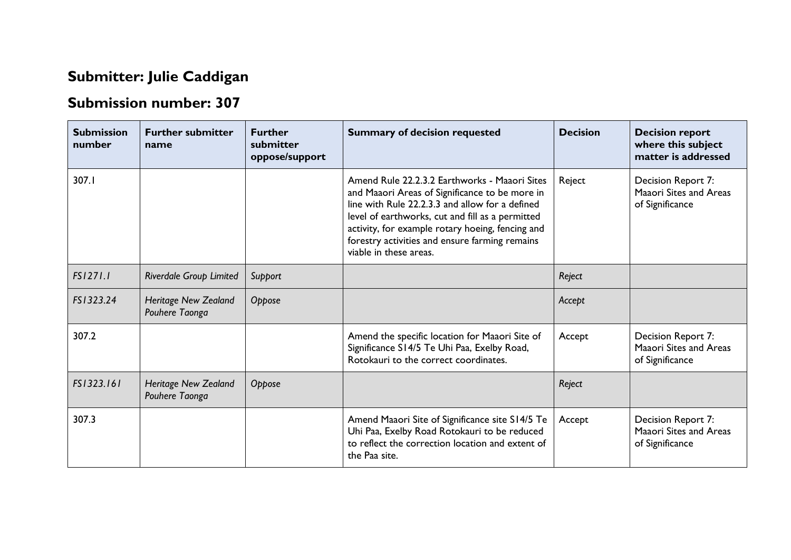## **Submitter: Julie Caddigan**

## **Submission number: 307**

| <b>Submission</b><br>number | <b>Further submitter</b><br>name              | <b>Further</b><br>submitter<br>oppose/support | <b>Summary of decision requested</b>                                                                                                                                                                                                                                                                                                   | <b>Decision</b> | <b>Decision report</b><br>where this subject<br>matter is addressed |
|-----------------------------|-----------------------------------------------|-----------------------------------------------|----------------------------------------------------------------------------------------------------------------------------------------------------------------------------------------------------------------------------------------------------------------------------------------------------------------------------------------|-----------------|---------------------------------------------------------------------|
| 307.1                       |                                               |                                               | Amend Rule 22.2.3.2 Earthworks - Maaori Sites<br>and Maaori Areas of Significance to be more in<br>line with Rule 22.2.3.3 and allow for a defined<br>level of earthworks, cut and fill as a permitted<br>activity, for example rotary hoeing, fencing and<br>forestry activities and ensure farming remains<br>viable in these areas. | Reject          | Decision Report 7:<br>Maaori Sites and Areas<br>of Significance     |
| FS1271.1                    | <b>Riverdale Group Limited</b>                | Support                                       |                                                                                                                                                                                                                                                                                                                                        | Reject          |                                                                     |
| FS1323.24                   | <b>Heritage New Zealand</b><br>Pouhere Taonga | Oppose                                        |                                                                                                                                                                                                                                                                                                                                        | Accept          |                                                                     |
| 307.2                       |                                               |                                               | Amend the specific location for Maaori Site of<br>Significance S14/5 Te Uhi Paa, Exelby Road,<br>Rotokauri to the correct coordinates.                                                                                                                                                                                                 | Accept          | Decision Report 7:<br>Maaori Sites and Areas<br>of Significance     |
| FS1323.161                  | <b>Heritage New Zealand</b><br>Pouhere Taonga | Oppose                                        |                                                                                                                                                                                                                                                                                                                                        | Reject          |                                                                     |
| 307.3                       |                                               |                                               | Amend Maaori Site of Significance site S14/5 Te<br>Uhi Paa, Exelby Road Rotokauri to be reduced<br>to reflect the correction location and extent of<br>the Paa site.                                                                                                                                                                   | Accept          | Decision Report 7:<br>Maaori Sites and Areas<br>of Significance     |